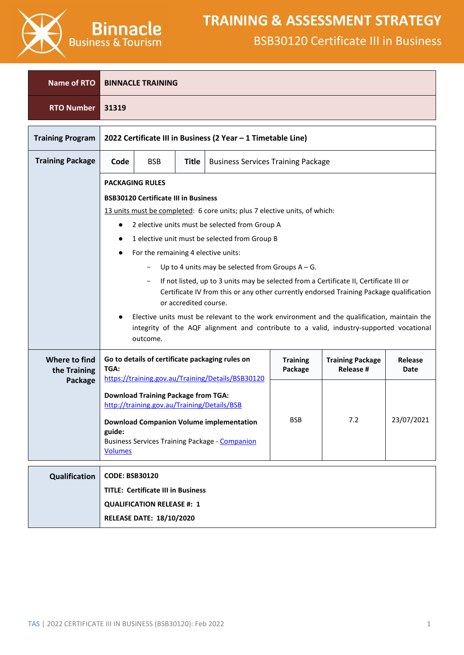

| Name of RTO                   |                                                                                                                  | <b>BINNACLE TRAINING</b>                                                                                                                                                                             |  |                                                                                                 |            |                                                                                                                                                                                        |            |
|-------------------------------|------------------------------------------------------------------------------------------------------------------|------------------------------------------------------------------------------------------------------------------------------------------------------------------------------------------------------|--|-------------------------------------------------------------------------------------------------|------------|----------------------------------------------------------------------------------------------------------------------------------------------------------------------------------------|------------|
| <b>RTO Number</b>             | 31319                                                                                                            |                                                                                                                                                                                                      |  |                                                                                                 |            |                                                                                                                                                                                        |            |
| <b>Training Program</b>       |                                                                                                                  |                                                                                                                                                                                                      |  | 2022 Certificate III in Business (2 Year - 1 Timetable Line)                                    |            |                                                                                                                                                                                        |            |
| <b>Training Package</b>       | Code                                                                                                             | <b>BSB</b><br><b>Title</b><br><b>Business Services Training Package</b>                                                                                                                              |  |                                                                                                 |            |                                                                                                                                                                                        |            |
|                               |                                                                                                                  | <b>PACKAGING RULES</b>                                                                                                                                                                               |  |                                                                                                 |            |                                                                                                                                                                                        |            |
|                               |                                                                                                                  | <b>BSB30120 Certificate III in Business</b>                                                                                                                                                          |  |                                                                                                 |            |                                                                                                                                                                                        |            |
|                               |                                                                                                                  |                                                                                                                                                                                                      |  | 13 units must be completed: 6 core units; plus 7 elective units, of which:                      |            |                                                                                                                                                                                        |            |
|                               |                                                                                                                  |                                                                                                                                                                                                      |  | 2 elective units must be selected from Group A<br>1 elective unit must be selected from Group B |            |                                                                                                                                                                                        |            |
|                               |                                                                                                                  | For the remaining 4 elective units:                                                                                                                                                                  |  |                                                                                                 |            |                                                                                                                                                                                        |            |
|                               |                                                                                                                  |                                                                                                                                                                                                      |  | Up to 4 units may be selected from Groups $A - G$ .                                             |            |                                                                                                                                                                                        |            |
|                               | If not listed, up to 3 units may be selected from a Certificate II, Certificate III or                           |                                                                                                                                                                                                      |  |                                                                                                 |            |                                                                                                                                                                                        |            |
|                               | Certificate IV from this or any other currently endorsed Training Package qualification<br>or accredited course. |                                                                                                                                                                                                      |  |                                                                                                 |            |                                                                                                                                                                                        |            |
|                               |                                                                                                                  | outcome.                                                                                                                                                                                             |  |                                                                                                 |            | Elective units must be relevant to the work environment and the qualification, maintain the<br>integrity of the AQF alignment and contribute to a valid, industry-supported vocational |            |
| Where to find<br>the Training | TGA:                                                                                                             | Go to details of certificate packaging rules on<br><b>Training</b><br><b>Training Package</b><br>Release<br><b>Release #</b><br>Package<br>Date<br>https://training.gov.au/Training/Details/BSB30120 |  |                                                                                                 |            |                                                                                                                                                                                        |            |
| Package                       |                                                                                                                  |                                                                                                                                                                                                      |  |                                                                                                 |            |                                                                                                                                                                                        |            |
|                               |                                                                                                                  | <b>Download Training Package from TGA:</b><br>http://training.gov.au/Training/Details/BSB                                                                                                            |  |                                                                                                 |            |                                                                                                                                                                                        |            |
|                               |                                                                                                                  |                                                                                                                                                                                                      |  | <b>Download Companion Volume implementation</b>                                                 | <b>BSB</b> | 7.2                                                                                                                                                                                    | 23/07/2021 |
|                               | guide:                                                                                                           |                                                                                                                                                                                                      |  | <b>Business Services Training Package - Companion</b>                                           |            |                                                                                                                                                                                        |            |
|                               | <b>Volumes</b>                                                                                                   |                                                                                                                                                                                                      |  |                                                                                                 |            |                                                                                                                                                                                        |            |
| Qualification                 | <b>CODE: BSB30120</b>                                                                                            |                                                                                                                                                                                                      |  |                                                                                                 |            |                                                                                                                                                                                        |            |
|                               |                                                                                                                  | <b>TITLE: Certificate III in Business</b>                                                                                                                                                            |  |                                                                                                 |            |                                                                                                                                                                                        |            |
|                               |                                                                                                                  | <b>QUALIFICATION RELEASE #: 1</b>                                                                                                                                                                    |  |                                                                                                 |            |                                                                                                                                                                                        |            |
|                               |                                                                                                                  | <b>RELEASE DATE: 18/10/2020</b>                                                                                                                                                                      |  |                                                                                                 |            |                                                                                                                                                                                        |            |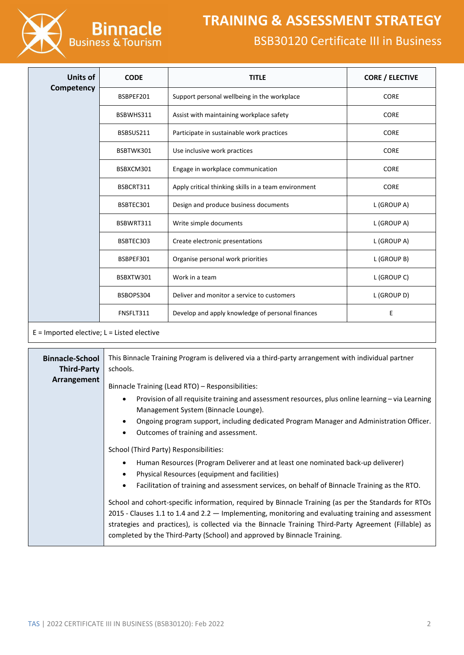

| <b>Units of</b> | <b>CODE</b> | <b>TITLE</b>                                         | <b>CORE / ELECTIVE</b> |
|-----------------|-------------|------------------------------------------------------|------------------------|
| Competency      | BSBPEF201   | Support personal wellbeing in the workplace          | <b>CORE</b>            |
|                 | BSBWHS311   | Assist with maintaining workplace safety             | <b>CORE</b>            |
|                 | BSBSUS211   | Participate in sustainable work practices            | <b>CORE</b>            |
|                 | BSBTWK301   | Use inclusive work practices                         | <b>CORE</b>            |
|                 | BSBXCM301   | Engage in workplace communication                    | <b>CORE</b>            |
|                 | BSBCRT311   | Apply critical thinking skills in a team environment | <b>CORE</b>            |
|                 | BSBTEC301   | Design and produce business documents                | L (GROUP A)            |
|                 | BSBWRT311   | Write simple documents                               | L (GROUP A)            |
|                 | BSBTEC303   | Create electronic presentations                      | L (GROUP A)            |
|                 | BSBPEF301   | Organise personal work priorities                    | L (GROUP B)            |
|                 | BSBXTW301   | Work in a team                                       | L (GROUP C)            |
|                 | BSBOPS304   | Deliver and monitor a service to customers           | L (GROUP D)            |
|                 | FNSFLT311   | Develop and apply knowledge of personal finances     | E                      |
|                 |             |                                                      |                        |

 $E =$  Imported elective;  $L =$  Listed elective

| <b>Binnacle-School</b><br><b>Third-Party</b> | This Binnacle Training Program is delivered via a third-party arrangement with individual partner<br>schools.                                                                                                                                                                                                                                                                                                                                                                                                                                                                                                                                                                                                            |
|----------------------------------------------|--------------------------------------------------------------------------------------------------------------------------------------------------------------------------------------------------------------------------------------------------------------------------------------------------------------------------------------------------------------------------------------------------------------------------------------------------------------------------------------------------------------------------------------------------------------------------------------------------------------------------------------------------------------------------------------------------------------------------|
| Arrangement                                  | Binnacle Training (Lead RTO) - Responsibilities:<br>Provision of all requisite training and assessment resources, plus online learning $-$ via Learning<br>$\bullet$<br>Management System (Binnacle Lounge).<br>Ongoing program support, including dedicated Program Manager and Administration Officer.<br>$\bullet$<br>Outcomes of training and assessment.<br>$\bullet$                                                                                                                                                                                                                                                                                                                                               |
|                                              | School (Third Party) Responsibilities:<br>Human Resources (Program Deliverer and at least one nominated back-up deliverer)<br>$\bullet$<br>Physical Resources (equipment and facilities)<br>$\bullet$<br>Facilitation of training and assessment services, on behalf of Binnacle Training as the RTO.<br>$\bullet$<br>School and cohort-specific information, required by Binnacle Training (as per the Standards for RTOs<br>2015 - Clauses 1.1 to 1.4 and 2.2 $-$ Implementing, monitoring and evaluating training and assessment<br>strategies and practices), is collected via the Binnacle Training Third-Party Agreement (Fillable) as<br>completed by the Third-Party (School) and approved by Binnacle Training. |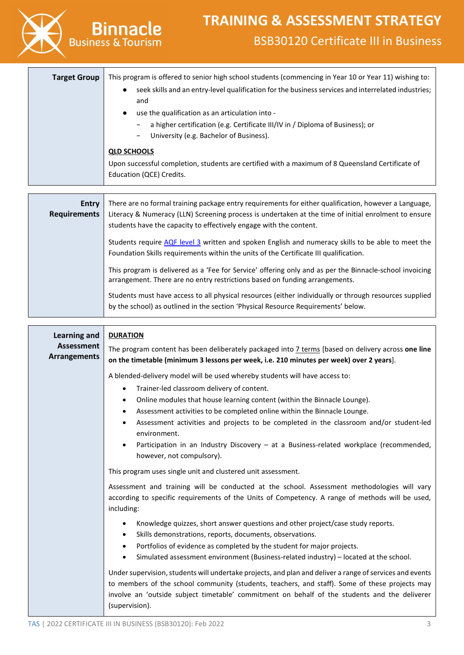

This program is delivered as a 'Fee for Service' offering only and as per the Binnacle-school invoicing arrangement. There are no entry restrictions based on funding arrangements.

Students must have access to all physical resources (either individually or through resources supplied by the school) as outlined in the section 'Physical Resource Requirements' below.

| <b>Learning and</b>                      | <b>DURATION</b>                                                                                                                                                                                                                                                                                                                                                                                                         |
|------------------------------------------|-------------------------------------------------------------------------------------------------------------------------------------------------------------------------------------------------------------------------------------------------------------------------------------------------------------------------------------------------------------------------------------------------------------------------|
| <b>Assessment</b><br><b>Arrangements</b> | The program content has been deliberately packaged into 7 terms [based on delivery across one line<br>on the timetable (minimum 3 lessons per week, i.e. 210 minutes per week) over 2 years].                                                                                                                                                                                                                           |
|                                          | A blended-delivery model will be used whereby students will have access to:<br>Trainer-led classroom delivery of content.<br>$\bullet$<br>Online modules that house learning content (within the Binnacle Lounge).<br>$\bullet$<br>Assessment activities to be completed online within the Binnacle Lounge.<br>٠<br>Assessment activities and projects to be completed in the classroom and/or student-led<br>$\bullet$ |
|                                          | environment.<br>Participation in an Industry Discovery - at a Business-related workplace (recommended,<br>however, not compulsory).                                                                                                                                                                                                                                                                                     |
|                                          | This program uses single unit and clustered unit assessment.                                                                                                                                                                                                                                                                                                                                                            |
|                                          | Assessment and training will be conducted at the school. Assessment methodologies will vary<br>according to specific requirements of the Units of Competency. A range of methods will be used,<br>including:                                                                                                                                                                                                            |
|                                          | Knowledge quizzes, short answer questions and other project/case study reports.<br>٠<br>Skills demonstrations, reports, documents, observations.<br>$\bullet$<br>Portfolios of evidence as completed by the student for major projects.<br>$\bullet$<br>Simulated assessment environment (Business-related industry) - located at the school.<br>$\bullet$                                                              |
|                                          | Under supervision, students will undertake projects, and plan and deliver a range of services and events<br>to members of the school community (students, teachers, and staff). Some of these projects may<br>involve an 'outside subject timetable' commitment on behalf of the students and the deliverer<br>(supervision).                                                                                           |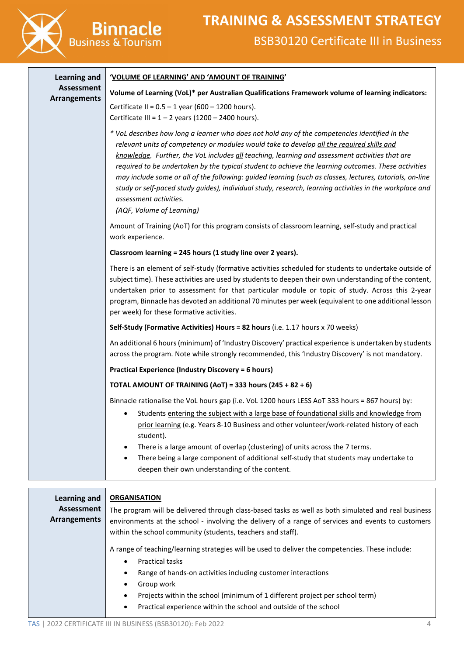

| <b>Learning and</b> | 'VOLUME OF LEARNING' AND 'AMOUNT OF TRAINING'                                                                                                                                                                                                                                                                                                                                                                                                                                                                                                                                                                                                                                      |
|---------------------|------------------------------------------------------------------------------------------------------------------------------------------------------------------------------------------------------------------------------------------------------------------------------------------------------------------------------------------------------------------------------------------------------------------------------------------------------------------------------------------------------------------------------------------------------------------------------------------------------------------------------------------------------------------------------------|
| <b>Assessment</b>   | Volume of Learning (VoL)* per Australian Qualifications Framework volume of learning indicators:                                                                                                                                                                                                                                                                                                                                                                                                                                                                                                                                                                                   |
| <b>Arrangements</b> | Certificate II = $0.5 - 1$ year (600 - 1200 hours).<br>Certificate III = $1 - 2$ years (1200 - 2400 hours).                                                                                                                                                                                                                                                                                                                                                                                                                                                                                                                                                                        |
|                     | * VoL describes how long a learner who does not hold any of the competencies identified in the<br>relevant units of competency or modules would take to develop all the required skills and<br>knowledge. Further, the VoL includes all teaching, learning and assessment activities that are<br>required to be undertaken by the typical student to achieve the learning outcomes. These activities<br>may include some or all of the following: guided learning (such as classes, lectures, tutorials, on-line<br>study or self-paced study guides), individual study, research, learning activities in the workplace and<br>assessment activities.<br>(AQF, Volume of Learning) |
|                     | Amount of Training (AoT) for this program consists of classroom learning, self-study and practical<br>work experience.                                                                                                                                                                                                                                                                                                                                                                                                                                                                                                                                                             |
|                     | Classroom learning = 245 hours (1 study line over 2 years).                                                                                                                                                                                                                                                                                                                                                                                                                                                                                                                                                                                                                        |
|                     | There is an element of self-study (formative activities scheduled for students to undertake outside of<br>subject time). These activities are used by students to deepen their own understanding of the content,<br>undertaken prior to assessment for that particular module or topic of study. Across this 2-year<br>program, Binnacle has devoted an additional 70 minutes per week (equivalent to one additional lesson<br>per week) for these formative activities.                                                                                                                                                                                                           |
|                     | Self-Study (Formative Activities) Hours = 82 hours (i.e. 1.17 hours x 70 weeks)                                                                                                                                                                                                                                                                                                                                                                                                                                                                                                                                                                                                    |
|                     | An additional 6 hours (minimum) of 'Industry Discovery' practical experience is undertaken by students<br>across the program. Note while strongly recommended, this 'Industry Discovery' is not mandatory.                                                                                                                                                                                                                                                                                                                                                                                                                                                                         |
|                     | <b>Practical Experience (Industry Discovery = 6 hours)</b>                                                                                                                                                                                                                                                                                                                                                                                                                                                                                                                                                                                                                         |
|                     | <b>TOTAL AMOUNT OF TRAINING (AoT) = 333 hours (245 + 82 + 6)</b>                                                                                                                                                                                                                                                                                                                                                                                                                                                                                                                                                                                                                   |
|                     | Binnacle rationalise the VoL hours gap (i.e. VoL 1200 hours LESS AoT 333 hours = 867 hours) by:                                                                                                                                                                                                                                                                                                                                                                                                                                                                                                                                                                                    |
|                     | Students entering the subject with a large base of foundational skills and knowledge from<br>$\bullet$<br>prior learning (e.g. Years 8-10 Business and other volunteer/work-related history of each<br>student).                                                                                                                                                                                                                                                                                                                                                                                                                                                                   |
|                     | There is a large amount of overlap (clustering) of units across the 7 terms.<br>$\bullet$                                                                                                                                                                                                                                                                                                                                                                                                                                                                                                                                                                                          |
|                     | There being a large component of additional self-study that students may undertake to<br>deepen their own understanding of the content.                                                                                                                                                                                                                                                                                                                                                                                                                                                                                                                                            |

| Learning and<br>Assessment<br>Arrangements | <b>ORGANISATION</b><br>The program will be delivered through class-based tasks as well as both simulated and real business<br>environments at the school - involving the delivery of a range of services and events to customers<br>within the school community (students, teachers and staff).                                                                                                                      |
|--------------------------------------------|----------------------------------------------------------------------------------------------------------------------------------------------------------------------------------------------------------------------------------------------------------------------------------------------------------------------------------------------------------------------------------------------------------------------|
|                                            | A range of teaching/learning strategies will be used to deliver the competencies. These include:<br><b>Practical tasks</b><br>$\bullet$<br>Range of hands-on activities including customer interactions<br>$\bullet$<br>Group work<br>٠<br>Projects within the school (minimum of 1 different project per school term)<br>$\bullet$<br>Practical experience within the school and outside of the school<br>$\bullet$ |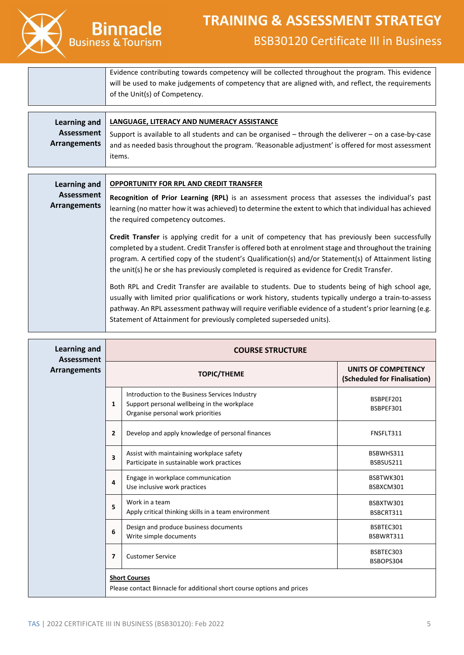

**Binnacle** 

Evidence contributing towards competency will be collected throughout the program. This evidence will be used to make judgements of competency that are aligned with, and reflect, the requirements of the Unit(s) of Competency.

|                     | Learning and   LANGUAGE, LITERACY AND NUMERACY ASSISTANCE                                                 |
|---------------------|-----------------------------------------------------------------------------------------------------------|
| Assessment          | Support is available to all students and can be organised $-$ through the deliverer $-$ on a case-by-case |
| <b>Arrangements</b> | and as needed basis throughout the program. 'Reasonable adjustment' is offered for most assessment        |
|                     | items.                                                                                                    |

| Learning and                      | <b>OPPORTUNITY FOR RPL AND CREDIT TRANSFER</b>                                                                                                                                                                                                                                                                                                                                                                             |
|-----------------------------------|----------------------------------------------------------------------------------------------------------------------------------------------------------------------------------------------------------------------------------------------------------------------------------------------------------------------------------------------------------------------------------------------------------------------------|
| Assessment<br><b>Arrangements</b> | Recognition of Prior Learning (RPL) is an assessment process that assesses the individual's past<br>learning (no matter how it was achieved) to determine the extent to which that individual has achieved<br>the required competency outcomes.                                                                                                                                                                            |
|                                   | <b>Credit Transfer</b> is applying credit for a unit of competency that has previously been successfully<br>completed by a student. Credit Transfer is offered both at enrolment stage and throughout the training<br>program. A certified copy of the student's Qualification(s) and/or Statement(s) of Attainment listing<br>the unit(s) he or she has previously completed is required as evidence for Credit Transfer. |
|                                   | Both RPL and Credit Transfer are available to students. Due to students being of high school age,<br>usually with limited prior qualifications or work history, students typically undergo a train-to-assess<br>pathway. An RPL assessment pathway will require verifiable evidence of a student's prior learning (e.g.<br>Statement of Attainment for previously completed superseded units).                             |

| <b>Learning and</b><br>Assessment |                | <b>COURSE STRUCTURE</b>                                                                                                            |                                                     |
|-----------------------------------|----------------|------------------------------------------------------------------------------------------------------------------------------------|-----------------------------------------------------|
| <b>Arrangements</b>               |                | <b>TOPIC/THEME</b>                                                                                                                 | UNITS OF COMPETENCY<br>(Scheduled for Finalisation) |
|                                   | 1              | Introduction to the Business Services Industry<br>Support personal wellbeing in the workplace<br>Organise personal work priorities | BSBPEF201<br>BSBPEF301                              |
|                                   | $\overline{2}$ | Develop and apply knowledge of personal finances                                                                                   | FNSFLT311                                           |
|                                   | 3              | Assist with maintaining workplace safety<br>Participate in sustainable work practices                                              | BSBWHS311<br>BSBSUS211                              |
|                                   | 4              | Engage in workplace communication<br>Use inclusive work practices                                                                  | BSBTWK301<br>BSBXCM301                              |
|                                   | 5              | Work in a team<br>Apply critical thinking skills in a team environment                                                             | BSBXTW301<br>BSBCRT311                              |
|                                   | 6              | Design and produce business documents<br>Write simple documents                                                                    | BSBTEC301<br>BSBWRT311                              |
|                                   | 7              | <b>Customer Service</b>                                                                                                            | BSBTEC303<br>BSBOPS304                              |
|                                   |                | <b>Short Courses</b><br>Please contact Binnacle for additional short course options and prices                                     |                                                     |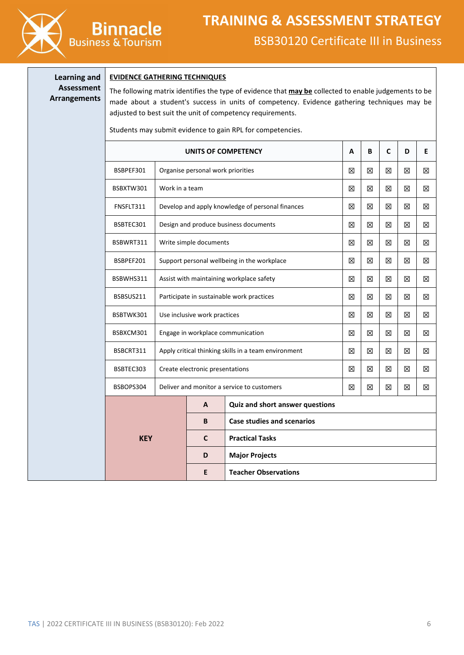

### **Learning and Assessment Arrangements**

#### **EVIDENCE GATHERING TECHNIQUES**

**Binnacle** 

The following matrix identifies the type of evidence that **may be** collected to enable judgements to be made about a student's success in units of competency. Evidence gathering techniques may be adjusted to best suit the unit of competency requirements.

Students may submit evidence to gain RPL for competencies.

|            |                                                      |                                            | UNITS OF COMPETENCY                         | A | B | C | D | Е |
|------------|------------------------------------------------------|--------------------------------------------|---------------------------------------------|---|---|---|---|---|
| BSBPEF301  |                                                      | Organise personal work priorities          |                                             | ⊠ | X | ⊠ | ⊠ | ⊠ |
| BSBXTW301  | Work in a team                                       |                                            |                                             | 区 | 区 | 区 | 区 | ⊠ |
| FNSFLT311  | Develop and apply knowledge of personal finances     |                                            |                                             | 区 | 区 | 冈 | ⊠ | 区 |
| BSBTEC301  |                                                      |                                            | Design and produce business documents       | 区 | 区 | 区 | 区 | 区 |
| BSBWRT311  |                                                      | Write simple documents                     |                                             | ⊠ | 区 | 区 | ⊠ | ⊠ |
| BSBPEF201  |                                                      |                                            | Support personal wellbeing in the workplace | 区 | 区 | 区 | ⊠ | ⊠ |
| BSBWHS311  | Assist with maintaining workplace safety             |                                            |                                             | ⊠ | ⊠ | ⊠ | ⊠ | ⊠ |
| BSBSUS211  | Participate in sustainable work practices            |                                            |                                             | 区 | X | ⊠ | ⊠ | ⊠ |
| BSBTWK301  | Use inclusive work practices                         |                                            | ⊠                                           | ⊠ | X | ⊠ | ⊠ |   |
| BSBXCM301  | Engage in workplace communication                    |                                            | 区                                           | 区 | X | ⊠ | ⊠ |   |
| BSBCRT311  | Apply critical thinking skills in a team environment |                                            | 区                                           | 区 | 区 | ⊠ | ⊠ |   |
| BSBTEC303  | Create electronic presentations                      |                                            | 区                                           | 区 | X | X | ⊠ |   |
| BSBOPS304  |                                                      | Deliver and monitor a service to customers |                                             | ⊠ | X | ⊠ | ⊠ | ⊠ |
|            |                                                      | A                                          | Quiz and short answer questions             |   |   |   |   |   |
|            |                                                      | B                                          | <b>Case studies and scenarios</b>           |   |   |   |   |   |
| <b>KEY</b> |                                                      | $\mathbf c$                                | <b>Practical Tasks</b>                      |   |   |   |   |   |
|            |                                                      | D                                          | <b>Major Projects</b>                       |   |   |   |   |   |
|            |                                                      | E                                          | <b>Teacher Observations</b>                 |   |   |   |   |   |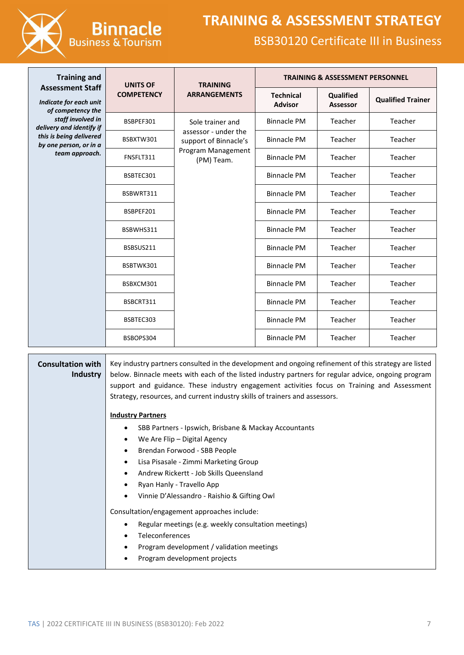

| <b>Training and</b>                                                    | <b>UNITS OF</b>   | <b>TRAINING</b>                               |                                    | <b>TRAINING &amp; ASSESSMENT PERSONNEL</b> |                          |
|------------------------------------------------------------------------|-------------------|-----------------------------------------------|------------------------------------|--------------------------------------------|--------------------------|
| <b>Assessment Staff</b><br>Indicate for each unit<br>of competency the | <b>COMPETENCY</b> | <b>ARRANGEMENTS</b>                           | <b>Technical</b><br><b>Advisor</b> | Qualified<br><b>Assessor</b>               | <b>Qualified Trainer</b> |
| staff involved in<br>delivery and identify if                          | BSBPEF301         | Sole trainer and                              | <b>Binnacle PM</b>                 | Teacher                                    | Teacher                  |
| this is being delivered<br>by one person, or in a                      | BSBXTW301         | assessor - under the<br>support of Binnacle's | <b>Binnacle PM</b>                 | Teacher                                    | Teacher                  |
| team approach.                                                         | FNSFLT311         | Program Management<br>(PM) Team.              | <b>Binnacle PM</b>                 | Teacher                                    | Teacher                  |
|                                                                        | BSBTEC301         |                                               | <b>Binnacle PM</b>                 | Teacher                                    | Teacher                  |
|                                                                        | BSBWRT311         |                                               | <b>Binnacle PM</b>                 | Teacher                                    | Teacher                  |
|                                                                        | BSBPEF201         |                                               | <b>Binnacle PM</b>                 | Teacher                                    | Teacher                  |
|                                                                        | BSBWHS311         |                                               | <b>Binnacle PM</b>                 | Teacher                                    | Teacher                  |
|                                                                        | BSBSUS211         |                                               | <b>Binnacle PM</b>                 | Teacher                                    | Teacher                  |
|                                                                        | BSBTWK301         |                                               | <b>Binnacle PM</b>                 | Teacher                                    | Teacher                  |
|                                                                        | BSBXCM301         |                                               | <b>Binnacle PM</b>                 | Teacher                                    | Teacher                  |
|                                                                        | BSBCRT311         |                                               | <b>Binnacle PM</b>                 | Teacher                                    | Teacher                  |
|                                                                        | BSBTEC303         |                                               | <b>Binnacle PM</b>                 | Teacher                                    | Teacher                  |
|                                                                        | BSBOPS304         |                                               | <b>Binnacle PM</b>                 | Teacher                                    | Teacher                  |

| support and guidance. These industry engagement activities focus on Training and Assessment<br>Strategy, resources, and current industry skills of trainers and assessors. |
|----------------------------------------------------------------------------------------------------------------------------------------------------------------------------|
| <b>Industry Partners</b>                                                                                                                                                   |
| SBB Partners - Ipswich, Brisbane & Mackay Accountants<br>٠                                                                                                                 |
| We Are Flip – Digital Agency<br>$\bullet$                                                                                                                                  |
| Brendan Forwood - SBB People<br>$\bullet$                                                                                                                                  |
| Lisa Pisasale - Zimmi Marketing Group<br>$\bullet$                                                                                                                         |
| Andrew Rickertt - Job Skills Queensland<br>$\bullet$                                                                                                                       |
| Ryan Hanly - Travello App<br>٠                                                                                                                                             |
| Vinnie D'Alessandro - Raishio & Gifting Owl<br>$\bullet$                                                                                                                   |
| Consultation/engagement approaches include:                                                                                                                                |
| Regular meetings (e.g. weekly consultation meetings)<br>٠                                                                                                                  |
| Teleconferences<br>$\bullet$                                                                                                                                               |
| Program development / validation meetings<br>$\bullet$                                                                                                                     |
| Program development projects<br>$\bullet$                                                                                                                                  |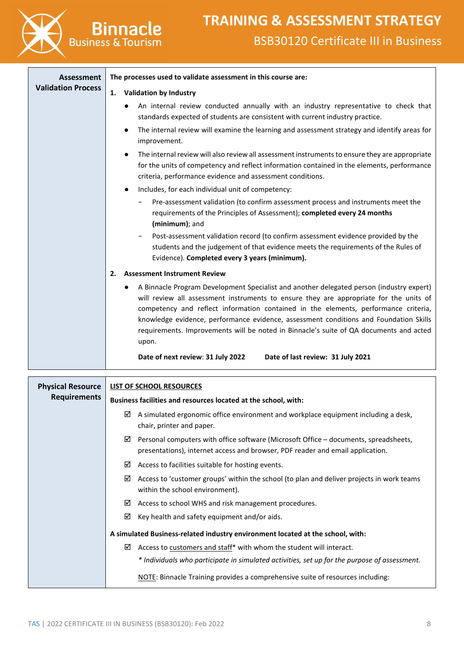

| <b>Assessment</b>         | The processes used to validate assessment in this course are:                                                                                                                                                                                                                                                                                                                                                                                                                      |
|---------------------------|------------------------------------------------------------------------------------------------------------------------------------------------------------------------------------------------------------------------------------------------------------------------------------------------------------------------------------------------------------------------------------------------------------------------------------------------------------------------------------|
| <b>Validation Process</b> | <b>Validation by Industry</b><br>1.                                                                                                                                                                                                                                                                                                                                                                                                                                                |
|                           | An internal review conducted annually with an industry representative to check that<br>standards expected of students are consistent with current industry practice.                                                                                                                                                                                                                                                                                                               |
|                           | The internal review will examine the learning and assessment strategy and identify areas for<br>$\bullet$<br>improvement.                                                                                                                                                                                                                                                                                                                                                          |
|                           | The internal review will also review all assessment instruments to ensure they are appropriate<br>for the units of competency and reflect information contained in the elements, performance<br>criteria, performance evidence and assessment conditions.                                                                                                                                                                                                                          |
|                           | Includes, for each individual unit of competency:                                                                                                                                                                                                                                                                                                                                                                                                                                  |
|                           | Pre-assessment validation (to confirm assessment process and instruments meet the<br>requirements of the Principles of Assessment); completed every 24 months<br>(minimum); and                                                                                                                                                                                                                                                                                                    |
|                           | Post-assessment validation record (to confirm assessment evidence provided by the<br>students and the judgement of that evidence meets the requirements of the Rules of<br>Evidence). Completed every 3 years (minimum).                                                                                                                                                                                                                                                           |
|                           | <b>Assessment Instrument Review</b><br>2.                                                                                                                                                                                                                                                                                                                                                                                                                                          |
|                           | A Binnacle Program Development Specialist and another delegated person (industry expert)<br>$\bullet$<br>will review all assessment instruments to ensure they are appropriate for the units of<br>competency and reflect information contained in the elements, performance criteria,<br>knowledge evidence, performance evidence, assessment conditions and Foundation Skills<br>requirements. Improvements will be noted in Binnacle's suite of QA documents and acted<br>upon. |
|                           | Date of next review: 31 July 2022<br>Date of last review: 31 July 2021                                                                                                                                                                                                                                                                                                                                                                                                             |
|                           |                                                                                                                                                                                                                                                                                                                                                                                                                                                                                    |
| <b>Physical Resource</b>  | LIST OF SCHOOL RESOURCES                                                                                                                                                                                                                                                                                                                                                                                                                                                           |
| <b>Requirements</b>       | Business facilities and resources located at the school, with:                                                                                                                                                                                                                                                                                                                                                                                                                     |
|                           | $\boxtimes$ A simulated ergonomic office environment and workplace equipment including a desk,<br>chair, printer and paper.                                                                                                                                                                                                                                                                                                                                                        |
|                           | Personal computers with office software (Microsoft Office - documents, spreadsheets,<br>☑<br>presentations), internet access and browser, PDF reader and email application.                                                                                                                                                                                                                                                                                                        |
|                           | Access to facilities suitable for hosting events.<br>⊻                                                                                                                                                                                                                                                                                                                                                                                                                             |
|                           | Access to 'customer groups' within the school (to plan and deliver projects in work teams<br>⊻<br>within the school environment).                                                                                                                                                                                                                                                                                                                                                  |
|                           | Access to school WHS and risk management procedures.<br>⊻                                                                                                                                                                                                                                                                                                                                                                                                                          |
|                           | Key health and safety equipment and/or aids.<br>☑                                                                                                                                                                                                                                                                                                                                                                                                                                  |
|                           | A simulated Business-related industry environment located at the school, with:                                                                                                                                                                                                                                                                                                                                                                                                     |
|                           | $\boxtimes$ Access to customers and staff* with whom the student will interact.                                                                                                                                                                                                                                                                                                                                                                                                    |
|                           |                                                                                                                                                                                                                                                                                                                                                                                                                                                                                    |

*\* Individuals who participate in simulated activities, set up for the purpose of assessment.*

NOTE: Binnacle Training provides a comprehensive suite of resources including: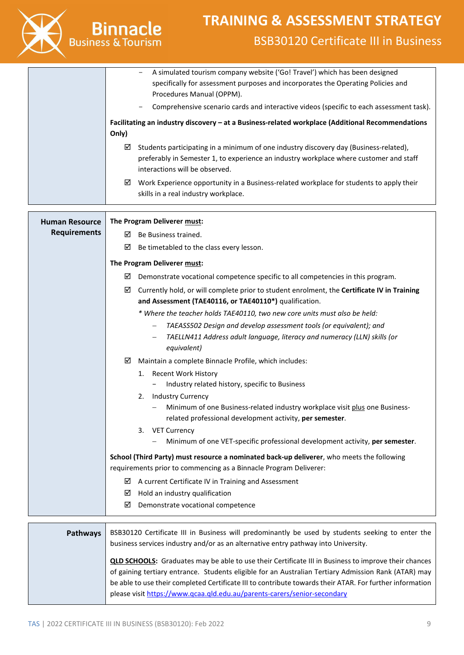

|                       | A simulated tourism company website ('Go! Travel') which has been designed<br>specifically for assessment purposes and incorporates the Operating Policies and<br>Procedures Manual (OPPM).<br>Comprehensive scenario cards and interactive videos (specific to each assessment task).                                          |
|-----------------------|---------------------------------------------------------------------------------------------------------------------------------------------------------------------------------------------------------------------------------------------------------------------------------------------------------------------------------|
|                       | Facilitating an industry discovery - at a Business-related workplace (Additional Recommendations                                                                                                                                                                                                                                |
|                       | Only)                                                                                                                                                                                                                                                                                                                           |
|                       | Students participating in a minimum of one industry discovery day (Business-related),<br>☑<br>preferably in Semester 1, to experience an industry workplace where customer and staff<br>interactions will be observed.                                                                                                          |
|                       | Work Experience opportunity in a Business-related workplace for students to apply their<br>⊻<br>skills in a real industry workplace.                                                                                                                                                                                            |
| <b>Human Resource</b> | The Program Deliverer must:                                                                                                                                                                                                                                                                                                     |
| <b>Requirements</b>   | Be Business trained.<br>☑                                                                                                                                                                                                                                                                                                       |
|                       | ☑<br>Be timetabled to the class every lesson.                                                                                                                                                                                                                                                                                   |
|                       |                                                                                                                                                                                                                                                                                                                                 |
|                       | The Program Deliverer must:<br>☑                                                                                                                                                                                                                                                                                                |
|                       | Demonstrate vocational competence specific to all competencies in this program.                                                                                                                                                                                                                                                 |
|                       | Currently hold, or will complete prior to student enrolment, the Certificate IV in Training<br>☑<br>and Assessment (TAE40116, or TAE40110*) qualification.                                                                                                                                                                      |
|                       | * Where the teacher holds TAE40110, two new core units must also be held:                                                                                                                                                                                                                                                       |
|                       | TAEASS502 Design and develop assessment tools (or equivalent); and                                                                                                                                                                                                                                                              |
|                       | TAELLN411 Address adult language, literacy and numeracy (LLN) skills (or<br>$\qquad \qquad -$<br>equivalent)                                                                                                                                                                                                                    |
|                       | Maintain a complete Binnacle Profile, which includes:<br>☑                                                                                                                                                                                                                                                                      |
|                       | <b>Recent Work History</b><br>1.                                                                                                                                                                                                                                                                                                |
|                       | Industry related history, specific to Business                                                                                                                                                                                                                                                                                  |
|                       | <b>Industry Currency</b><br>2.<br>- Minimum of one Business-related industry workplace visit plus one Business-<br>related professional development activity, per semester.                                                                                                                                                     |
|                       | 3. VET Currency                                                                                                                                                                                                                                                                                                                 |
|                       | Minimum of one VET-specific professional development activity, per semester.                                                                                                                                                                                                                                                    |
|                       | School (Third Party) must resource a nominated back-up deliverer, who meets the following<br>requirements prior to commencing as a Binnacle Program Deliverer:                                                                                                                                                                  |
|                       | A current Certificate IV in Training and Assessment<br>⊻                                                                                                                                                                                                                                                                        |
|                       | Hold an industry qualification<br>⊻                                                                                                                                                                                                                                                                                             |
|                       | ☑<br>Demonstrate vocational competence                                                                                                                                                                                                                                                                                          |
| <b>Pathways</b>       | BSB30120 Certificate III in Business will predominantly be used by students seeking to enter the<br>business services industry and/or as an alternative entry pathway into University.                                                                                                                                          |
|                       | <b>QLD SCHOOLS:</b> Graduates may be able to use their Certificate III in Business to improve their chances<br>of gaining tertiary entrance. Students eligible for an Australian Tertiary Admission Rank (ATAR) may<br>be able to use their completed Certificate III to contribute towards their ATAR. For further information |

please visi[t https://www.qcaa.qld.edu.au/parents-carers/senior-secondary](https://www.qcaa.qld.edu.au/parents-carers/senior-secondary)